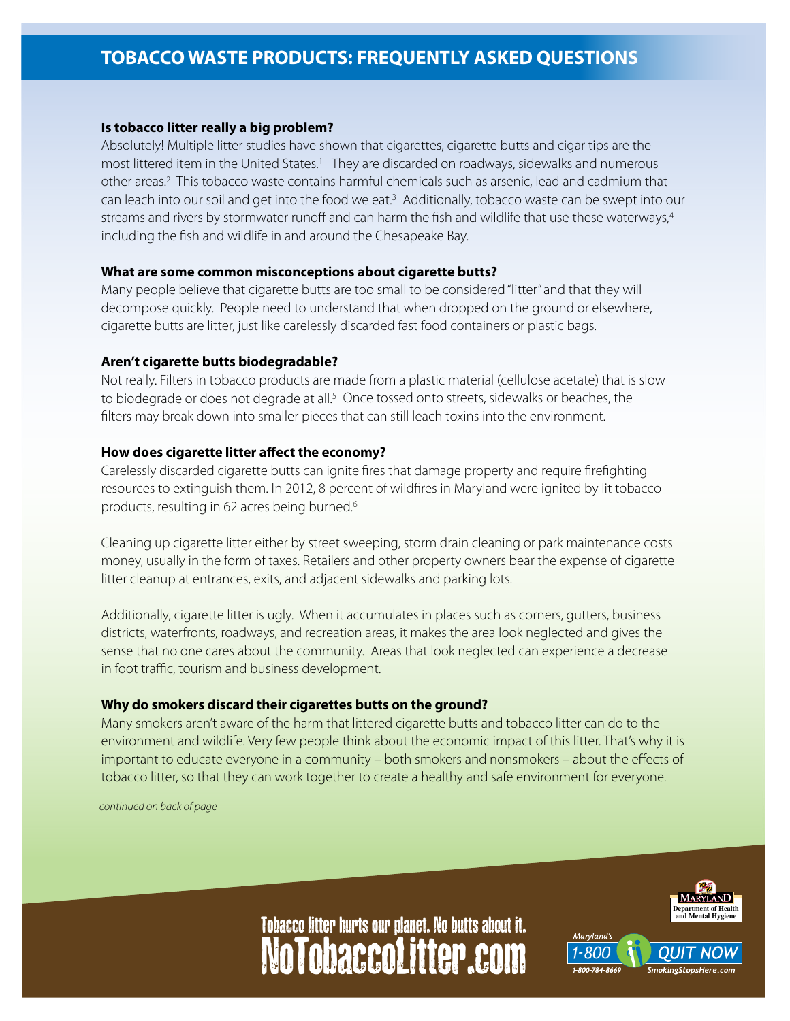# **TOBACCO WASTE PRODUCTS: FREQUENTLY ASKED QUESTIONS**

## **Is tobacco litter really a big problem?**

Absolutely! Multiple litter studies have shown that cigarettes, cigarette butts and cigar tips are the most littered item in the United States.<sup>1</sup> They are discarded on roadways, sidewalks and numerous other areas.2 This tobacco waste contains harmful chemicals such as arsenic, lead and cadmium that can leach into our soil and get into the food we eat.3 Additionally, tobacco waste can be swept into our streams and rivers by stormwater runoff and can harm the fish and wildlife that use these waterways,4 including the fish and wildlife in and around the Chesapeake Bay.

#### **What are some common misconceptions about cigarette butts?**

Many people believe that cigarette butts are too small to be considered "litter" and that they will decompose quickly. People need to understand that when dropped on the ground or elsewhere, cigarette butts are litter, just like carelessly discarded fast food containers or plastic bags.

#### **Aren't cigarette butts biodegradable?**

Not really. Filters in tobacco products are made from a plastic material (cellulose acetate) that is slow to biodegrade or does not degrade at all.<sup>5</sup> Once tossed onto streets, sidewalks or beaches, the filters may break down into smaller pieces that can still leach toxins into the environment.

#### **How does cigarette litter affect the economy?**

Carelessly discarded cigarette butts can ignite fires that damage property and require firefighting resources to extinguish them. In 2012, 8 percent of wildfires in Maryland were ignited by lit tobacco products, resulting in 62 acres being burned.6

Cleaning up cigarette litter either by street sweeping, storm drain cleaning or park maintenance costs money, usually in the form of taxes. Retailers and other property owners bear the expense of cigarette litter cleanup at entrances, exits, and adjacent sidewalks and parking lots.

Additionally, cigarette litter is ugly. When it accumulates in places such as corners, gutters, business districts, waterfronts, roadways, and recreation areas, it makes the area look neglected and gives the sense that no one cares about the community. Areas that look neglected can experience a decrease in foot traffic, tourism and business development.

#### **Why do smokers discard their cigarettes butts on the ground?**

Many smokers aren't aware of the harm that littered cigarette butts and tobacco litter can do to the environment and wildlife. Very few people think about the economic impact of this litter. That's why it is important to educate everyone in a community – both smokers and nonsmokers – about the effects of tobacco litter, so that they can work together to create a healthy and safe environment for everyone.

*continued on back of page*



Marvland's

# NoTobaccoLitter.com Tobacco litter hurts our planet. No butts about it.